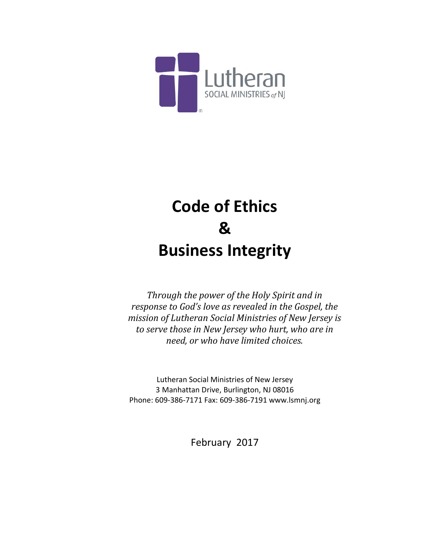

# **Code of Ethics & Business Integrity**

*Through the power of the Holy Spirit and in response to God's love as revealed in the Gospel, the mission of Lutheran Social Ministries of New Jersey is to serve those in New Jersey who hurt, who are in need, or who have limited choices.*

Lutheran Social Ministries of New Jersey 3 Manhattan Drive, Burlington, NJ 08016 Phone: 609-386-7171 Fax: 609-386-7191 www.lsmnj.org

February 2017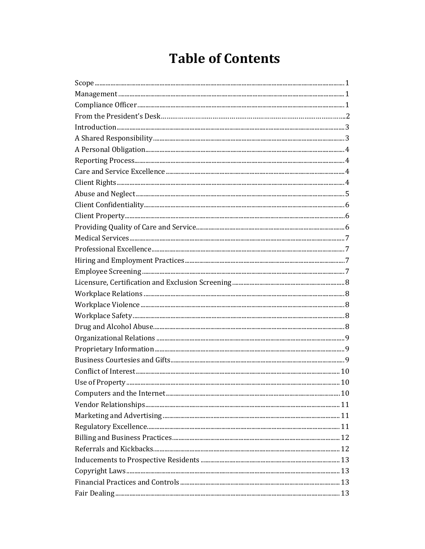# **Table of Contents**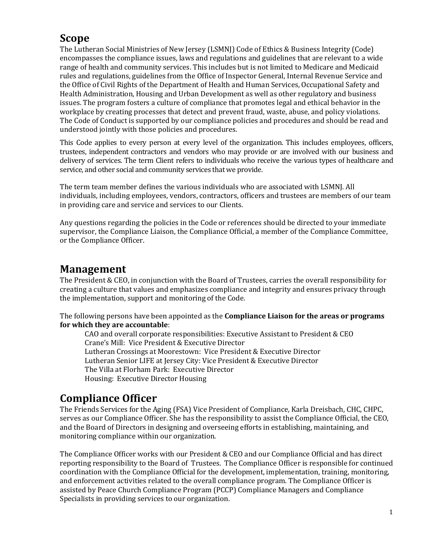## **Scope**

The Lutheran Social Ministries of New Jersey (LSMNJ) Code of Ethics & Business Integrity (Code) encompasses the compliance issues, laws and regulations and guidelines that are relevant to a wide range of health and community services. This includes but is not limited to Medicare and Medicaid rules and regulations, guidelines from the Office of Inspector General, Internal Revenue Service and the Office of Civil Rights of the Department of Health and Human Services, Occupational Safety and Health Administration, Housing and Urban Development as well as other regulatory and business issues. The program fosters a culture of compliance that promotes legal and ethical behavior in the workplace by creating processes that detect and prevent fraud, waste, abuse, and policy violations. The Code of Conduct is supported by our compliance policies and procedures and should be read and understood jointly with those policies and procedures.

This Code applies to every person at every level of the organization. This includes employees, officers, trustees, independent contractors and vendors who may provide or are involved with our business and delivery of services. The term Client refers to individuals who receive the various types of healthcare and service, and other social and community services that we provide.

The term team member defines the various individuals who are associated with LSMNJ. All individuals, including employees, vendors, contractors, officers and trustees are members of our team in providing care and service and services to our Clients.

Any questions regarding the policies in the Code or references should be directed to your immediate supervisor, the Compliance Liaison, the Compliance Official, a member of the Compliance Committee, or the Compliance Officer.

#### **Management**

The President & CEO, in conjunction with the Board of Trustees, carries the overall responsibility for creating a culture that values and emphasizes compliance and integrity and ensures privacy through the implementation, support and monitoring of the Code.

The following persons have been appointed as the **Compliance Liaison for the areas or programs for which they are accountable**:

CAO and overall corporate responsibilities: Executive Assistant to President & CEO Crane's Mill: Vice President & Executive Director Lutheran Crossings at Moorestown: Vice President & Executive Director Lutheran Senior LIFE at Jersey City: Vice President & Executive Director The Villa at Florham Park: Executive Director Housing: Executive Director Housing

#### **Compliance Officer**

The Friends Services for the Aging (FSA) Vice President of Compliance, Karla Dreisbach, CHC, CHPC, serves as our Compliance Officer. She has the responsibility to assist the Compliance Official, the CEO, and the Board of Directors in designing and overseeing efforts in establishing, maintaining, and monitoring compliance within our organization.

The Compliance Officer works with our President & CEO and our Compliance Official and has direct reporting responsibility to the Board of Trustees. The Compliance Officer is responsible for continued coordination with the Compliance Official for the development, implementation, training, monitoring, and enforcement activities related to the overall compliance program. The Compliance Officer is assisted by Peace Church Compliance Program (PCCP) Compliance Managers and Compliance Specialists in providing services to our organization.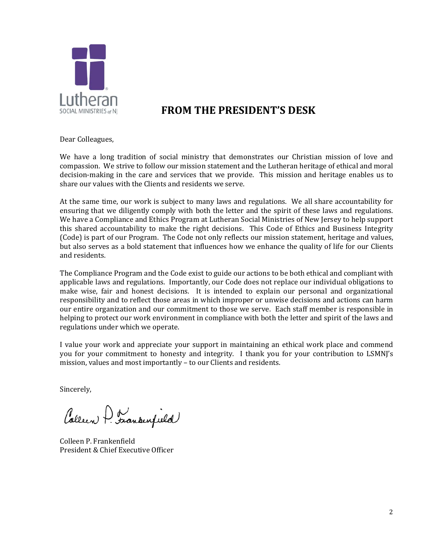

## **FROM THE PRESIDENT'S DESK**

Dear Colleagues,

We have a long tradition of social ministry that demonstrates our Christian mission of love and compassion. We strive to follow our mission statement and the Lutheran heritage of ethical and moral decision-making in the care and services that we provide. This mission and heritage enables us to share our values with the Clients and residents we serve.

At the same time, our work is subject to many laws and regulations. We all share accountability for ensuring that we diligently comply with both the letter and the spirit of these laws and regulations. We have a Compliance and Ethics Program at Lutheran Social Ministries of New Jersey to help support this shared accountability to make the right decisions. This Code of Ethics and Business Integrity (Code) is part of our Program. The Code not only reflects our mission statement, heritage and values, but also serves as a bold statement that influences how we enhance the quality of life for our Clients and residents.

The Compliance Program and the Code exist to guide our actions to be both ethical and compliant with applicable laws and regulations. Importantly, our Code does not replace our individual obligations to make wise, fair and honest decisions. It is intended to explain our personal and organizational responsibility and to reflect those areas in which improper or unwise decisions and actions can harm our entire organization and our commitment to those we serve. Each staff member is responsible in helping to protect our work environment in compliance with both the letter and spirit of the laws and regulations under which we operate.

I value your work and appreciate your support in maintaining an ethical work place and commend you for your commitment to honesty and integrity. I thank you for your contribution to LSMNJ's mission, values and most importantly – to our Clients and residents.

Sincerely,

Colleen A. Frankenfield

Colleen P. Frankenfield President & Chief Executive Officer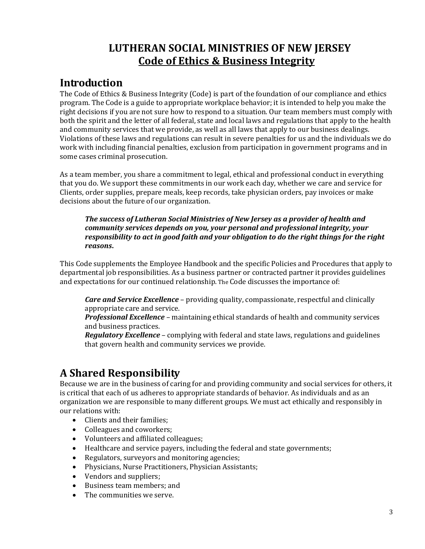# **LUTHERAN SOCIAL MINISTRIES OF NEW JERSEY Code of Ethics & Business Integrity**

#### **Introduction**

The Code of Ethics & Business Integrity (Code) is part of the foundation of our compliance and ethics program. The Code is a guide to appropriate workplace behavior; it is intended to help you make the right decisions if you are not sure how to respond to a situation. Our team members must comply with both the spirit and the letter of all federal, state and local laws and regulations that apply to the health and community services that we provide, as well as all laws that apply to our business dealings. Violations of these laws and regulations can result in severe penalties for us and the individuals we do work with including financial penalties, exclusion from participation in government programs and in some cases criminal prosecution.

As a team member, you share a commitment to legal, ethical and professional conduct in everything that you do. We support these commitments in our work each day, whether we care and service for Clients, order supplies, prepare meals, keep records, take physician orders, pay invoices or make decisions about the future of our organization.

#### *The success of Lutheran Social Ministries of New Jersey as a provider of health and community services depends on you, your personal and professional integrity, your responsibility to act in good faith and your obligation to do the right things for the right reasons***.**

This Code supplements the Employee Handbook and the specific Policies and Procedures that apply to departmental job responsibilities. As a business partner or contracted partner it provides guidelines and expectations for our continued relationship. The Code discusses the importance of:

*Care and Service Excellence* – providing quality, compassionate, respectful and clinically appropriate care and service.

*Professional Excellence* – maintaining ethical standards of health and community services and business practices.

*Regulatory Excellence* – complying with federal and state laws, regulations and guidelines that govern health and community services we provide.

# **A Shared Responsibility**

Because we are in the business of caring for and providing community and social services for others, it is critical that each of us adheres to appropriate standards of behavior. As individuals and as an organization we are responsible to many different groups. We must act ethically and responsibly in our relations with:

- Clients and their families;
- Colleagues and coworkers;
- Volunteers and affiliated colleagues;
- Healthcare and service payers, including the federal and state governments;
- Regulators, surveyors and monitoring agencies;
- Physicians, Nurse Practitioners, Physician Assistants;
- Vendors and suppliers;
- Business team members; and<br>• The communities we serve
- The communities we serve.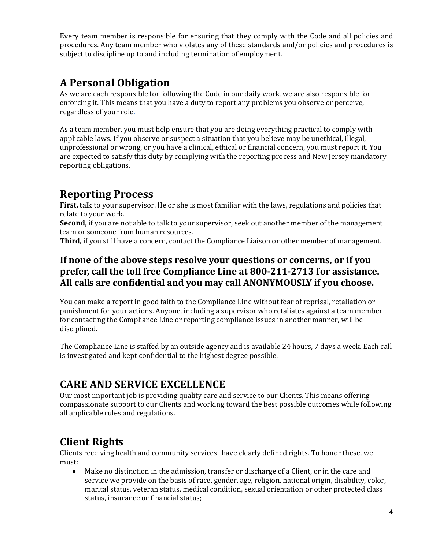Every team member is responsible for ensuring that they comply with the Code and all policies and procedures. Any team member who violates any of these standards and/or policies and procedures is subject to discipline up to and including termination of employment.

#### **A Personal Obligation**

As we are each responsible for following the Code in our daily work, we are also responsible for enforcing it. This means that you have a duty to report any problems you observe or perceive, regardless of your role.

As a team member, you must help ensure that you are doing everything practical to comply with applicable laws. If you observe or suspect a situation that you believe may be unethical, illegal, unprofessional or wrong, or you have a clinical, ethical or financial concern, you must report it. You are expected to satisfy this duty by complying with the reporting process and New Jersey mandatory reporting obligations.

#### **Reporting Process**

**First,** talk to your supervisor. He or she is most familiar with the laws, regulations and policies that relate to your work.

**Second,** if you are not able to talk to your supervisor, seek out another member of the management team or someone from human resources.

**Third,** if you still have a concern, contact the Compliance Liaison or other member of management.

#### **If none of the above steps resolve your questions or concerns, or if you prefer, call the toll free Compliance Line at 800-211-2713 for assistance. All calls are confidential and you may call ANONYMOUSLY if you choose.**

You can make a report in good faith to the Compliance Line without fear of reprisal, retaliation or punishment for your actions. Anyone, including a supervisor who retaliates against a team member for contacting the Compliance Line or reporting compliance issues in another manner, will be disciplined.

The Compliance Line is staffed by an outside agency and is available 24 hours, 7 days a week. Each call is investigated and kept confidential to the highest degree possible.

#### **CARE AND SERVICE EXCELLENCE**

Our most important job is providing quality care and service to our Clients. This means offering compassionate support to our Clients and working toward the best possible outcomes while following all applicable rules and regulations.

# **Client Rights**

Clients receiving health and community services have clearly defined rights. To honor these, we must:

• Make no distinction in the admission, transfer or discharge of a Client, or in the care and service we provide on the basis of race, gender, age, religion, national origin, disability, color, marital status, veteran status, medical condition, sexual orientation or other protected class status, insurance or financial status;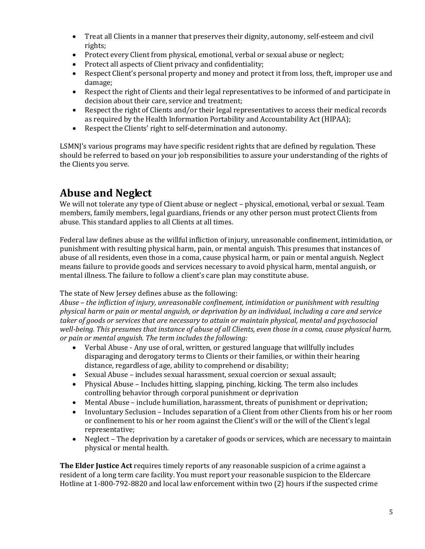- Treat all Clients in a manner that preserves their dignity, autonomy, self-esteem and civil rights;
- Protect every Client from physical, emotional, verbal or sexual abuse or neglect;
- Protect all aspects of Client privacy and confidentiality;
- Respect Client's personal property and money and protect it from loss, theft, improper use and damage;
- Respect the right of Clients and their legal representatives to be informed of and participate in decision about their care, service and treatment;
- Respect the right of Clients and/or their legal representatives to access their medical records as required by the Health Information Portability and Accountability Act (HIPAA);
- Respect the Clients' right to self-determination and autonomy.

LSMNI's various programs may have specific resident rights that are defined by regulation. These should be referred to based on your job responsibilities to assure your understanding of the rights of the Clients you serve.

## **Abuse and Neglect**

We will not tolerate any type of Client abuse or neglect – physical, emotional, verbal or sexual. Team members, family members, legal guardians, friends or any other person must protect Clients from abuse. This standard applies to all Clients at all times.

Federal law defines abuse as the willful infliction of injury, unreasonable confinement, intimidation, or punishment with resulting physical harm, pain, or mental anguish. This presumes that instances of abuse of all residents, even those in a coma, cause physical harm, or pain or mental anguish. Neglect means failure to provide goods and services necessary to avoid physical harm, mental anguish, or mental illness. The failure to follow a client's care plan may constitute abuse.

#### The state of New Jersey defines abuse as the following:

*Abuse – the infliction of injury, unreasonable confinement, intimidation or punishment with resulting physical harm or pain or mental anguish, or deprivation by an individual, including a care and service taker of goods or services that are necessary to attain or maintain physical, mental and psychosocial well-being. This presumes that instance of abuse of all Clients, even those in a coma, cause physical harm, or pain or mental anguish. The term includes the following:* 

- Verbal Abuse Any use of oral, written, or gestured language that willfully includes disparaging and derogatory terms to Clients or their families, or within their hearing distance, regardless of age, ability to comprehend or disability;
- Sexual Abuse includes sexual harassment, sexual coercion or sexual assault;
- Physical Abuse Includes hitting, slapping, pinching, kicking. The term also includes controlling behavior through corporal punishment or deprivation
- Mental Abuse include humiliation, harassment, threats of punishment or deprivation;
- Involuntary Seclusion Includes separation of a Client from other Clients from his or her room or confinement to his or her room against the Client's will or the will of the Client's legal representative;
- Neglect The deprivation by a caretaker of goods or services, which are necessary to maintain physical or mental health.

**The Elder Justice Act** requires timely reports of any reasonable suspicion of a crime against a resident of a long term care facility. You must report your reasonable suspicion to the Eldercare Hotline at 1-800-792-8820 and local law enforcement within two (2) hours if the suspected crime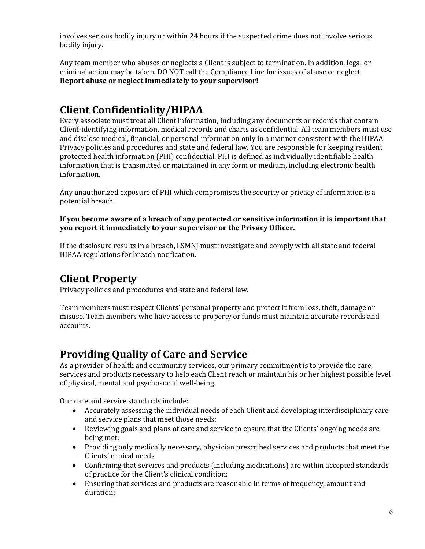involves serious bodily injury or within 24 hours if the suspected crime does not involve serious bodily injury.

Any team member who abuses or neglects a Client is subject to termination. In addition, legal or criminal action may be taken. DO NOT call the Compliance Line for issues of abuse or neglect. **Report abuse or neglect immediately to your supervisor!**

# **Client Confidentiality/HIPAA**

Every associate must treat all Client information, including any documents or records that contain Client-identifying information, medical records and charts as confidential. All team members must use and disclose medical, financial, or personal information only in a manner consistent with the HIPAA Privacy policies and procedures and state and federal law. You are responsible for keeping resident protected health information (PHI) confidential. PHI is defined as individually identifiable health information that is transmitted or maintained in any form or medium, including electronic health information.

Any unauthorized exposure of PHI which compromises the security or privacy of information is a potential breach.

**If you become aware of a breach of any protected or sensitive information it is important that you report it immediately to your supervisor or the Privacy Officer.**

If the disclosure results in a breach, LSMNJ must investigate and comply with all state and federal HIPAA regulations for breach notification.

# **Client Property**

Privacy policies and procedures and state and federal law.

Team members must respect Clients' personal property and protect it from loss, theft, damage or misuse. Team members who have access to property or funds must maintain accurate records and accounts.

#### **Providing Quality of Care and Service**

As a provider of health and community services, our primary commitment is to provide the care, services and products necessary to help each Client reach or maintain his or her highest possible level of physical, mental and psychosocial well-being.

Our care and service standards include:

- Accurately assessing the individual needs of each Client and developing interdisciplinary care and service plans that meet those needs;
- Reviewing goals and plans of care and service to ensure that the Clients' ongoing needs are being met;
- Providing only medically necessary, physician prescribed services and products that meet the Clients' clinical needs
- Confirming that services and products (including medications) are within accepted standards of practice for the Client's clinical condition;
- Ensuring that services and products are reasonable in terms of frequency, amount and duration;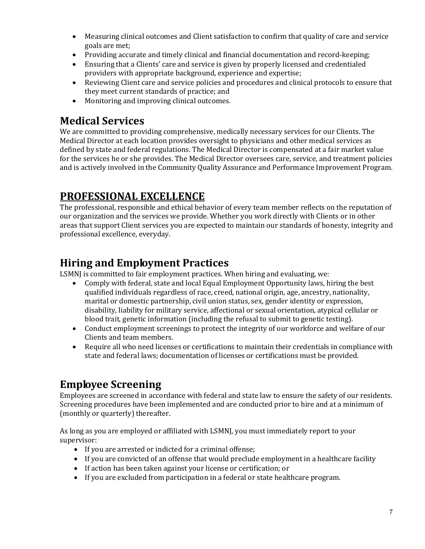- Measuring clinical outcomes and Client satisfaction to confirm that quality of care and service goals are met;
- Providing accurate and timely clinical and financial documentation and record-keeping;
- Ensuring that a Clients' care and service is given by properly licensed and credentialed providers with appropriate background, experience and expertise;
- Reviewing Client care and service policies and procedures and clinical protocols to ensure that they meet current standards of practice; and
- Monitoring and improving clinical outcomes.

# **Medical Services**

We are committed to providing comprehensive, medically necessary services for our Clients. The Medical Director at each location provides oversight to physicians and other medical services as defined by state and federal regulations. The Medical Director is compensated at a fair market value for the services he or she provides. The Medical Director oversees care, service, and treatment policies and is actively involved in the Community Quality Assurance and Performance Improvement Program.

# **PROFESSIONAL EXCELLENCE**

The professional, responsible and ethical behavior of every team member reflects on the reputation of our organization and the services we provide. Whether you work directly with Clients or in other areas that support Client services you are expected to maintain our standards of honesty, integrity and professional excellence, everyday.

## **Hiring and Employment Practices**

LSMNJ is committed to fair employment practices. When hiring and evaluating, we:

- Comply with federal, state and local Equal Employment Opportunity laws, hiring the best qualified individuals regardless of race, creed, national origin, age, ancestry, nationality, marital or domestic partnership, civil union status, sex, gender identity or expression, disability, liability for military service, affectional or sexual orientation, atypical cellular or blood trait, genetic information (including the refusal to submit to genetic testing).
- Conduct employment screenings to protect the integrity of our workforce and welfare of our Clients and team members.
- Require all who need licenses or certifications to maintain their credentials in compliance with state and federal laws; documentation of licenses or certifications must be provided.

# **Employee Screening**

Employees are screened in accordance with federal and state law to ensure the safety of our residents. Screening procedures have been implemented and are conducted prior to hire and at a minimum of (monthly or quarterly) thereafter.

As long as you are employed or affiliated with LSMNJ, you must immediately report to your supervisor:

- If you are arrested or indicted for a criminal offense;
- If you are convicted of an offense that would preclude employment in a healthcare facility
- If action has been taken against your license or certification; or
- If you are excluded from participation in a federal or state healthcare program.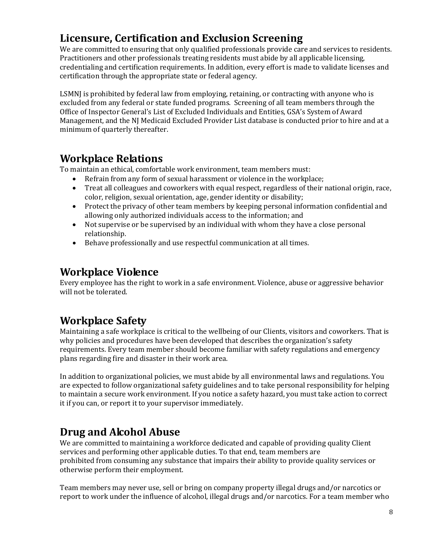# **Licensure, Certification and Exclusion Screening**

We are committed to ensuring that only qualified professionals provide care and services to residents. Practitioners and other professionals treating residents must abide by all applicable licensing, credentialing and certification requirements. In addition, every effort is made to validate licenses and certification through the appropriate state or federal agency.

LSMNJ is prohibited by federal law from employing, retaining, or contracting with anyone who is excluded from any federal or state funded programs. Screening of all team members through the Office of Inspector General's List of Excluded Individuals and Entities, GSA's System of Award Management, and the NJ Medicaid Excluded Provider List database is conducted prior to hire and at a minimum of quarterly thereafter.

#### **Workplace Relations**

To maintain an ethical, comfortable work environment, team members must:

- Refrain from any form of sexual harassment or violence in the workplace;
- Treat all colleagues and coworkers with equal respect, regardless of their national origin, race, color, religion, sexual orientation, age, gender identity or disability;
- Protect the privacy of other team members by keeping personal information confidential and allowing only authorized individuals access to the information; and
- Not supervise or be supervised by an individual with whom they have a close personal relationship.
- Behave professionally and use respectful communication at all times.

#### **Workplace Violence**

Every employee has the right to work in a safe environment. Violence, abuse or aggressive behavior will not be tolerated.

#### **Workplace Safety**

Maintaining a safe workplace is critical to the wellbeing of our Clients, visitors and coworkers. That is why policies and procedures have been developed that describes the organization's safety requirements. Every team member should become familiar with safety regulations and emergency plans regarding fire and disaster in their work area.

In addition to organizational policies, we must abide by all environmental laws and regulations. You are expected to follow organizational safety guidelines and to take personal responsibility for helping to maintain a secure work environment. If you notice a safety hazard, you must take action to correct it if you can, or report it to your supervisor immediately.

# **Drug and Alcohol Abuse**

We are committed to maintaining a workforce dedicated and capable of providing quality Client services and performing other applicable duties. To that end, team members are prohibited from consuming any substance that impairs their ability to provide quality services or otherwise perform their employment.

Team members may never use, sell or bring on company property illegal drugs and/or narcotics or report to work under the influence of alcohol, illegal drugs and/or narcotics. For a team member who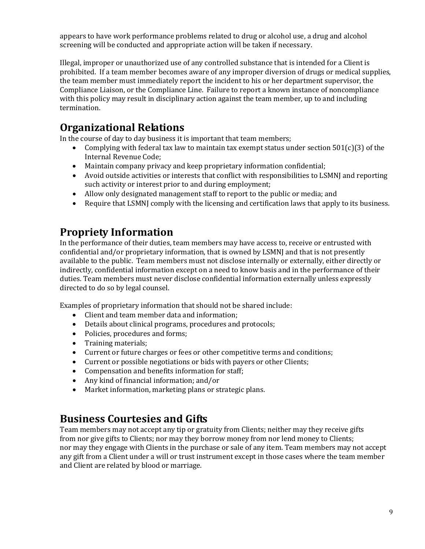appears to have work performance problems related to drug or alcohol use, a drug and alcohol screening will be conducted and appropriate action will be taken if necessary.

Illegal, improper or unauthorized use of any controlled substance that is intended for a Client is prohibited. If a team member becomes aware of any improper diversion of drugs or medical supplies, the team member must immediately report the incident to his or her department supervisor, the Compliance Liaison, or the Compliance Line. Failure to report a known instance of noncompliance with this policy may result in disciplinary action against the team member, up to and including termination.

# **Organizational Relations**

In the course of day to day business it is important that team members;

- Complying with federal tax law to maintain tax exempt status under section 501(c)(3) of the Internal Revenue Code;
- Maintain company privacy and keep proprietary information confidential;
- Avoid outside activities or interests that conflict with responsibilities to LSMNJ and reporting such activity or interest prior to and during employment;
- Allow only designated management staff to report to the public or media; and
- Require that LSMNJ comply with the licensing and certification laws that apply to its business.

#### **Propriety Information**

In the performance of their duties, team members may have access to, receive or entrusted with confidential and/or proprietary information, that is owned by LSMNJ and that is not presently available to the public. Team members must not disclose internally or externally, either directly or indirectly, confidential information except on a need to know basis and in the performance of their duties. Team members must never disclose confidential information externally unless expressly directed to do so by legal counsel.

Examples of proprietary information that should not be shared include:

- Client and team member data and information;
- Details about clinical programs, procedures and protocols;
- Policies, procedures and forms;
- Training materials;
- Current or future charges or fees or other competitive terms and conditions;
- Current or possible negotiations or bids with payers or other Clients;
- Compensation and benefits information for staff;
- Any kind of financial information; and/or
- Market information, marketing plans or strategic plans.

#### **Business Courtesies and Gifts**

Team members may not accept any tip or gratuity from Clients; neither may they receive gifts from nor give gifts to Clients; nor may they borrow money from nor lend money to Clients; nor may they engage with Clients in the purchase or sale of any item. Team members may not accept any gift from a Client under a will or trust instrument except in those cases where the team member and Client are related by blood or marriage.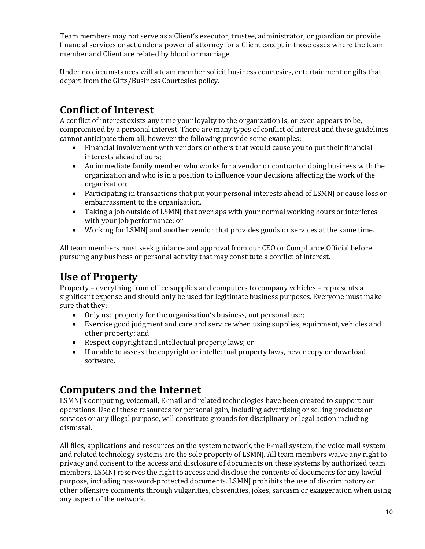Team members may not serve as a Client's executor, trustee, administrator, or guardian or provide financial services or act under a power of attorney for a Client except in those cases where the team member and Client are related by blood or marriage.

Under no circumstances will a team member solicit business courtesies, entertainment or gifts that depart from the Gifts/Business Courtesies policy.

# **Conflict of Interest**

A conflict of interest exists any time your loyalty to the organization is, or even appears to be, compromised by a personal interest. There are many types of conflict of interest and these guidelines cannot anticipate them all, however the following provide some examples:<br>● Financial involvement with vendors or others that would cause you

- Financial involvement with vendors or others that would cause you to put their financial interests ahead of ours;
- An immediate family member who works for a vendor or contractor doing business with the organization and who is in a position to influence your decisions affecting the work of the organization;
- Participating in transactions that put your personal interests ahead of LSMNJ or cause loss or embarrassment to the organization.
- Taking a job outside of LSMNJ that overlaps with your normal working hours or interferes with your job performance; or
- Working for LSMNJ and another vendor that provides goods or services at the same time.

All team members must seek guidance and approval from our CEO or Compliance Official before pursuing any business or personal activity that may constitute a conflict of interest.

# **Use of Property**

Property – everything from office supplies and computers to company vehicles – represents a significant expense and should only be used for legitimate business purposes. Everyone must make sure that they:

- Only use property for the organization's business, not personal use;
- Exercise good judgment and care and service when using supplies, equipment, vehicles and other property; and
- Respect copyright and intellectual property laws; or
- If unable to assess the copyright or intellectual property laws, never copy or download software.

#### **Computers and the Internet**

LSMNJ's computing, voicemail, E-mail and related technologies have been created to support our operations. Use of these resources for personal gain, including advertising or selling products or services or any illegal purpose, will constitute grounds for disciplinary or legal action including dismissal.

All files, applications and resources on the system network, the E-mail system, the voice mail system and related technology systems are the sole property of LSMNJ. All team members waive any right to privacy and consent to the access and disclosure of documents on these systems by authorized team members. LSMNJ reserves the right to access and disclose the contents of documents for any lawful purpose, including password-protected documents. LSMNJ prohibits the use of discriminatory or other offensive comments through vulgarities, obscenities, jokes, sarcasm or exaggeration when using any aspect of the network.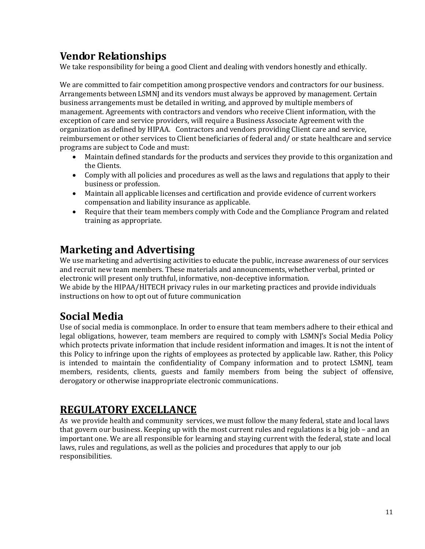# **Vendor Relationships**

We take responsibility for being a good Client and dealing with vendors honestly and ethically.

We are committed to fair competition among prospective vendors and contractors for our business. Arrangements between LSMNJ and its vendors must always be approved by management. Certain business arrangements must be detailed in writing, and approved by multiple members of management. Agreements with contractors and vendors who receive Client information, with the exception of care and service providers, will require a Business Associate Agreement with the organization as defined by HIPAA. Contractors and vendors providing Client care and service, reimbursement or other services to Client beneficiaries of federal and/ or state healthcare and service programs are subject to Code and must:

- Maintain defined standards for the products and services they provide to this organization and the Clients.
- Comply with all policies and procedures as well as the laws and regulations that apply to their business or profession.
- Maintain all applicable licenses and certification and provide evidence of current workers compensation and liability insurance as applicable.
- Require that their team members comply with Code and the Compliance Program and related training as appropriate.

# **Marketing and Advertising**

We use marketing and advertising activities to educate the public, increase awareness of our services and recruit new team members. These materials and announcements, whether verbal, printed or electronic will present only truthful, informative, non-deceptive information.

We abide by the HIPAA/HITECH privacy rules in our marketing practices and provide individuals instructions on how to opt out of future communication

# **Social Media**

Use of social media is commonplace. In order to ensure that team members adhere to their ethical and legal obligations, however, team members are required to comply with LSMNI's Social Media Policy which protects private information that include resident information and images. It is not the intent of this Policy to infringe upon the rights of employees as protected by applicable law. Rather, this Policy is intended to maintain the confidentiality of Company information and to protect LSMNJ, team members, residents, clients, guests and family members from being the subject of offensive, derogatory or otherwise inappropriate electronic communications.

#### **REGULATORY EXCELLANCE**

As we provide health and community services, we must follow the many federal, state and local laws that govern our business. Keeping up with the most current rules and regulations is a big job – and an important one. We are all responsible for learning and staying current with the federal, state and local laws, rules and regulations, as well as the policies and procedures that apply to our job responsibilities.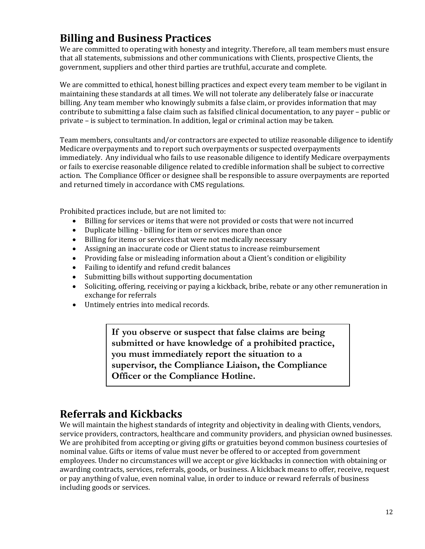# **Billing and Business Practices**

We are committed to operating with honesty and integrity. Therefore, all team members must ensure that all statements, submissions and other communications with Clients, prospective Clients, the government, suppliers and other third parties are truthful, accurate and complete.

We are committed to ethical, honest billing practices and expect every team member to be vigilant in maintaining these standards at all times. We will not tolerate any deliberately false or inaccurate billing. Any team member who knowingly submits a false claim, or provides information that may contribute to submitting a false claim such as falsified clinical documentation, to any payer – public or private – is subject to termination. In addition, legal or criminal action may be taken.

Team members, consultants and/or contractors are expected to utilize reasonable diligence to identify Medicare overpayments and to report such overpayments or suspected overpayments immediately. Any individual who fails to use reasonable diligence to identify Medicare overpayments or fails to exercise reasonable diligence related to credible information shall be subject to corrective action. The Compliance Officer or designee shall be responsible to assure overpayments are reported and returned timely in accordance with CMS regulations.

Prohibited practices include, but are not limited to:<br>• Billing for services or items that were not pr

- Billing for services or items that were not provided or costs that were not incurred
- Duplicate billing billing for item or services more than once<br>• Billing for items or services that were not medically necessare
- Billing for items or services that were not medically necessary
- Assigning an inaccurate code or Client status to increase reimbursement
- Providing false or misleading information about a Client's condition or eligibility
- Failing to identify and refund credit balances
- Submitting bills without supporting documentation
- Soliciting, offering, receiving or paying a kickback, bribe, rebate or any other remuneration in exchange for referrals
- Untimely entries into medical records.

**If you observe or suspect that false claims are being submitted or have knowledge of a prohibited practice, you must immediately report the situation to a supervisor, the Compliance Liaison, the Compliance Officer or the Compliance Hotline.**

#### **Referrals and Kickbacks**

We will maintain the highest standards of integrity and objectivity in dealing with Clients, vendors, service providers, contractors, healthcare and community providers, and physician owned businesses. We are prohibited from accepting or giving gifts or gratuities beyond common business courtesies of nominal value. Gifts or items of value must never be offered to or accepted from government employees. Under no circumstances will we accept or give kickbacks in connection with obtaining or awarding contracts, services, referrals, goods, or business. A kickback means to offer, receive, request or pay anything of value, even nominal value, in order to induce or reward referrals of business including goods or services.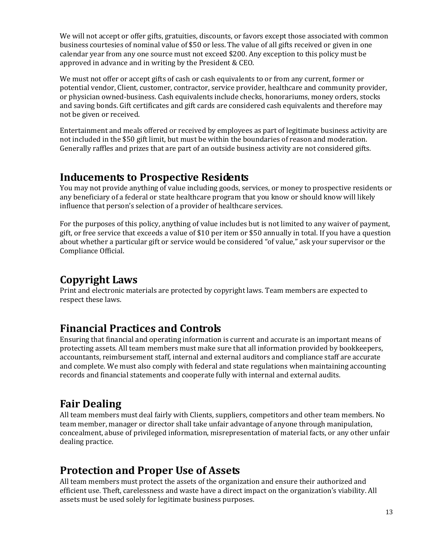We will not accept or offer gifts, gratuities, discounts, or favors except those associated with common business courtesies of nominal value of \$50 or less. The value of all gifts received or given in one calendar year from any one source must not exceed \$200. Any exception to this policy must be approved in advance and in writing by the President & CEO.

We must not offer or accept gifts of cash or cash equivalents to or from any current, former or potential vendor, Client, customer, contractor, service provider, healthcare and community provider, or physician owned-business. Cash equivalents include checks, honorariums, money orders, stocks and saving bonds. Gift certificates and gift cards are considered cash equivalents and therefore may not be given or received.

Entertainment and meals offered or received by employees as part of legitimate business activity are not included in the \$50 gift limit, but must be within the boundaries of reason and moderation. Generally raffles and prizes that are part of an outside business activity are not considered gifts.

#### **Inducements to Prospective Residents**

You may not provide anything of value including goods, services, or money to prospective residents or any beneficiary of a federal or state healthcare program that you know or should know will likely influence that person's selection of a provider of healthcare services.

For the purposes of this policy, anything of value includes but is not limited to any waiver of payment, gift, or free service that exceeds a value of \$10 per item or \$50 annually in total. If you have a question about whether a particular gift or service would be considered "of value," ask your supervisor or the Compliance Official.

# **Copyright Laws**

Print and electronic materials are protected by copyright laws. Team members are expected to respect these laws.

# **Financial Practices and Controls**

Ensuring that financial and operating information is current and accurate is an important means of protecting assets. All team members must make sure that all information provided by bookkeepers, accountants, reimbursement staff, internal and external auditors and compliance staff are accurate and complete. We must also comply with federal and state regulations when maintaining accounting records and financial statements and cooperate fully with internal and external audits.

# **Fair Dealing**

All team members must deal fairly with Clients, suppliers, competitors and other team members. No team member, manager or director shall take unfair advantage of anyone through manipulation, concealment, abuse of privileged information, misrepresentation of material facts, or any other unfair dealing practice.

#### **Protection and Proper Use of Assets**

All team members must protect the assets of the organization and ensure their authorized and efficient use. Theft, carelessness and waste have a direct impact on the organization's viability. All assets must be used solely for legitimate business purposes.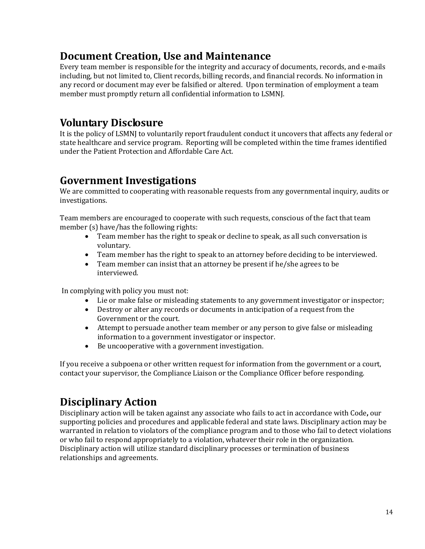## **Document Creation, Use and Maintenance**

Every team member is responsible for the integrity and accuracy of documents, records, and e-mails including, but not limited to, Client records, billing records, and financial records. No information in any record or document may ever be falsified or altered. Upon termination of employment a team member must promptly return all confidential information to LSMNJ.

#### **Voluntary Disclosure**

It is the policy of LSMNJ to voluntarily report fraudulent conduct it uncovers that affects any federal or state healthcare and service program. Reporting will be completed within the time frames identified under the Patient Protection and Affordable Care Act.

#### **Government Investigations**

We are committed to cooperating with reasonable requests from any governmental inquiry, audits or investigations.

Team members are encouraged to cooperate with such requests, conscious of the fact that team member (s) have/has the following rights:

- Team member has the right to speak or decline to speak, as all such conversation is voluntary.
- Team member has the right to speak to an attorney before deciding to be interviewed.
- Team member can insist that an attorney be present if he/she agrees to be interviewed.

In complying with policy you must not:

- Lie or make false or misleading statements to any government investigator or inspector;
- Destroy or alter any records or documents in anticipation of a request from the Government or the court.
- Attempt to persuade another team member or any person to give false or misleading information to a government investigator or inspector.
- Be uncooperative with a government investigation.

If you receive a subpoena or other written request for information from the government or a court, contact your supervisor, the Compliance Liaison or the Compliance Officer before responding.

# **Disciplinary Action**

Disciplinary action will be taken against any associate who fails to act in accordance with Code**,** our supporting policies and procedures and applicable federal and state laws. Disciplinary action may be warranted in relation to violators of the compliance program and to those who fail to detect violations or who fail to respond appropriately to a violation, whatever their role in the organization. Disciplinary action will utilize standard disciplinary processes or termination of business relationships and agreements.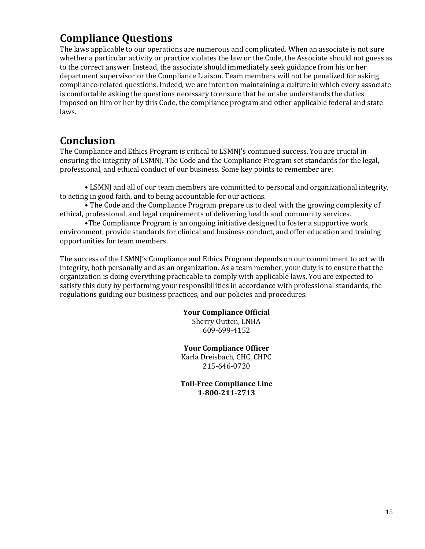## **Compliance Questions**

The laws applicable to our operations are numerous and complicated. When an associate is not sure whether a particular activity or practice violates the law or the Code, the Associate should not guess as to the correct answer. Instead, the associate should immediately seek guidance from his or her department supervisor or the Compliance Liaison. Team members will not be penalized for asking compliance-related questions. Indeed, we are intent on maintaining a culture in which every associate is comfortable asking the questions necessary to ensure that he or she understands the duties imposed on him or her by this Code, the compliance program and other applicable federal and state laws.

#### **Conclusion**

The Compliance and Ethics Program is critical to LSMNJ's continued success. You are crucial in ensuring the integrity of LSMNJ. The Code and the Compliance Program set standards for the legal, professional, and ethical conduct of our business. Some key points to remember are:

• LSMNJ and all of our team members are committed to personal and organizational integrity, to acting in good faith, and to being accountable for our actions.

• The Code and the Compliance Program prepare us to deal with the growing complexity of ethical, professional, and legal requirements of delivering health and community services.

•The Compliance Program is an ongoing initiative designed to foster a supportive work environment, provide standards for clinical and business conduct, and offer education and training opportunities for team members.

The success of the LSMNJ's Compliance and Ethics Program depends on our commitment to act with integrity, both personally and as an organization. As a team member, your duty is to ensure that the organization is doing everything practicable to comply with applicable laws. You are expected to satisfy this duty by performing your responsibilities in accordance with professional standards, the regulations guiding our business practices, and our policies and procedures.

#### **Your Compliance Official**

Sherry Outten, LNHA 609-699-4152

#### **Your Compliance Officer**

Karla Dreisbach, CHC, CHPC 215-646-0720

**Toll-Free Compliance Line 1-800-211-2713**